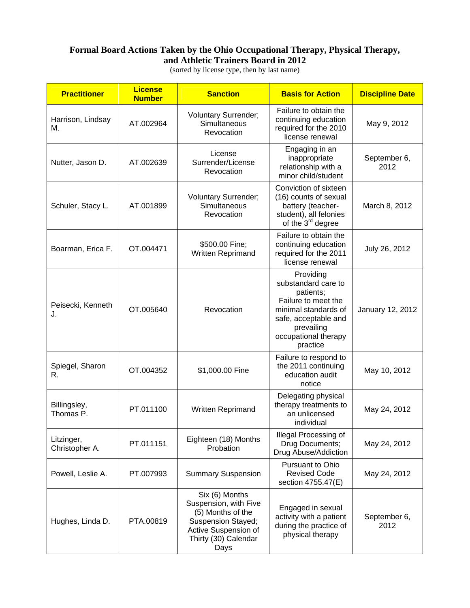## **Formal Board Actions Taken by the Ohio Occupational Therapy, Physical Therapy, and Athletic Trainers Board in 2012**

**Practitioner License Number 6 Sanction Sanction Sanction Date** Harrison, Lindsay  $M<sub>n</sub>$   $M<sub>n</sub>$   $M<sub>n</sub>$ Voluntary Surrender; **Simultaneous** Revocation Failure to obtain the continuing education required for the 2010 license renewal May 9, 2012 Nutter, Jason D. | AT.002639 License Surrender/License **Revocation** Engaging in an inappropriate relationship with a minor child/student September 6, 2012 Schuler, Stacy L. | AT.001899 Voluntary Surrender; **Simultaneous** Revocation Conviction of sixteen (16) counts of sexual battery (teacherstudent), all felonies of the  $3<sup>rd</sup>$  degree March 8, 2012 Boarman, Erica F.  $\vert$  OT.004471  $\vert$  \$500.00 Fine; Written Reprimand Failure to obtain the continuing education required for the 2011 license renewal July 26, 2012 Peisecki, Kenneth Telsecki, Nerified | OT.005640 | Revocation Providing substandard care to patients; Failure to meet the minimal standards of safe, acceptable and prevailing occupational therapy practice January 12, 2012 Spiegel, Sharon Spieger, Sharon |  $OT.004352$  | \$1,000.00 Fine Failure to respond to the 2011 continuing education audit notice May 10, 2012 Billingsley,<br>Thomas P. PT.011100 | Written Reprimand Delegating physical therapy treatments to an unlicensed individual May 24, 2012 Litzinger, Litzinger, **PT.011151** Eighteen (18) Months Christopher A. Probation Illegal Processing of Drug Documents; Drug Abuse/Addiction May 24, 2012 Powell, Leslie A. PT.007993 Summary Suspension Pursuant to Ohio Revised Code section 4755.47(E) May 24, 2012 Hughes, Linda D. | PTA.00819 Six (6) Months Suspension, with Five (5) Months of the Suspension Stayed; Active Suspension of Thirty (30) Calendar Days Engaged in sexual activity with a patient during the practice of physical therapy September 6, 2012

(sorted by license type, then by last name)